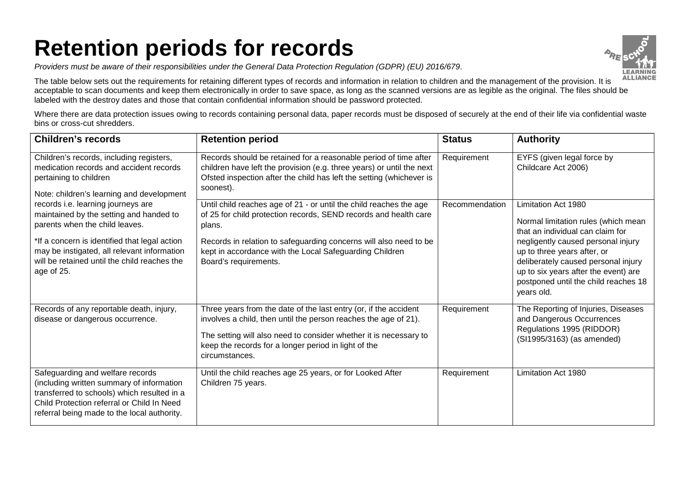## **Retention periods for records**

*Providers must be aware of their responsibilities under the General Data Protection Regulation (GDPR) (EU) 2016/679*.



The table below sets out the requirements for retaining different types of records and information in relation to children and the management of the provision. It is acceptable to scan documents and keep them electronically in order to save space, as long as the scanned versions are as legible as the original. The files should be labeled with the destroy dates and those that contain confidential information should be password protected.

Where there are data protection issues owing to records containing personal data, paper records must be disposed of securely at the end of their life via confidential waste bins or cross-cut shredders.

| <b>Children's records</b>                                                                                                                                                                                                                                                     | <b>Retention period</b>                                                                                                                                                                                                                                                                                   | <b>Status</b>  | <b>Authority</b>                                                                                                                                                                                                                                                                                         |
|-------------------------------------------------------------------------------------------------------------------------------------------------------------------------------------------------------------------------------------------------------------------------------|-----------------------------------------------------------------------------------------------------------------------------------------------------------------------------------------------------------------------------------------------------------------------------------------------------------|----------------|----------------------------------------------------------------------------------------------------------------------------------------------------------------------------------------------------------------------------------------------------------------------------------------------------------|
| Children's records, including registers,<br>medication records and accident records<br>pertaining to children<br>Note: children's learning and development                                                                                                                    | Records should be retained for a reasonable period of time after<br>children have left the provision (e.g. three years) or until the next<br>Ofsted inspection after the child has left the setting (whichever is<br>soonest).                                                                            | Requirement    | EYFS (given legal force by<br>Childcare Act 2006)                                                                                                                                                                                                                                                        |
| records i.e. learning journeys are<br>maintained by the setting and handed to<br>parents when the child leaves.<br>*If a concern is identified that legal action<br>may be instigated, all relevant information<br>will be retained until the child reaches the<br>age of 25. | Until child reaches age of 21 - or until the child reaches the age<br>of 25 for child protection records, SEND records and health care<br>plans.<br>Records in relation to safeguarding concerns will also need to be<br>kept in accordance with the Local Safeguarding Children<br>Board's requirements. | Recommendation | Limitation Act 1980<br>Normal limitation rules (which mean<br>that an individual can claim for<br>negligently caused personal injury<br>up to three years after, or<br>deliberately caused personal injury<br>up to six years after the event) are<br>postponed until the child reaches 18<br>years old. |
| Records of any reportable death, injury,<br>disease or dangerous occurrence.                                                                                                                                                                                                  | Three years from the date of the last entry (or, if the accident<br>involves a child, then until the person reaches the age of 21).<br>The setting will also need to consider whether it is necessary to<br>keep the records for a longer period in light of the<br>circumstances.                        | Requirement    | The Reporting of Injuries, Diseases<br>and Dangerous Occurrences<br>Regulations 1995 (RIDDOR)<br>(SI1995/3163) (as amended)                                                                                                                                                                              |
| Safeguarding and welfare records<br>(including written summary of information<br>transferred to schools) which resulted in a<br>Child Protection referral or Child In Need<br>referral being made to the local authority.                                                     | Until the child reaches age 25 years, or for Looked After<br>Children 75 years.                                                                                                                                                                                                                           | Requirement    | Limitation Act 1980                                                                                                                                                                                                                                                                                      |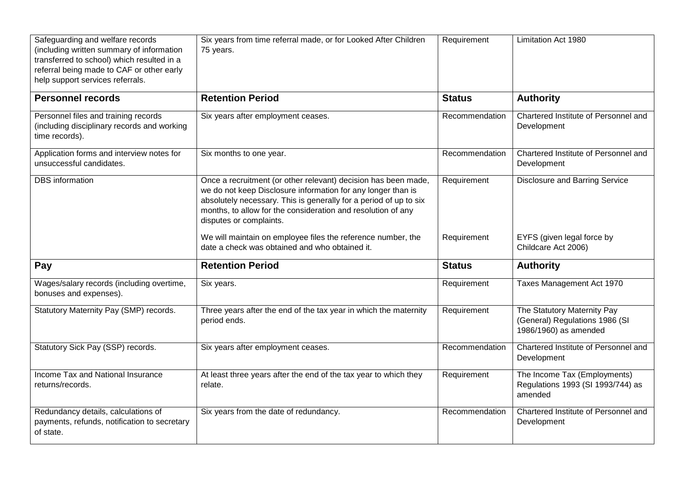| Safeguarding and welfare records<br>(including written summary of information<br>transferred to school) which resulted in a<br>referral being made to CAF or other early<br>help support services referrals. | Six years from time referral made, or for Looked After Children<br>75 years.                                                                                                                                                                                                                   | Requirement    | Limitation Act 1980                                                                    |
|--------------------------------------------------------------------------------------------------------------------------------------------------------------------------------------------------------------|------------------------------------------------------------------------------------------------------------------------------------------------------------------------------------------------------------------------------------------------------------------------------------------------|----------------|----------------------------------------------------------------------------------------|
| <b>Personnel records</b>                                                                                                                                                                                     | <b>Retention Period</b>                                                                                                                                                                                                                                                                        | <b>Status</b>  | <b>Authority</b>                                                                       |
| Personnel files and training records<br>(including disciplinary records and working<br>time records).                                                                                                        | Six years after employment ceases.                                                                                                                                                                                                                                                             | Recommendation | Chartered Institute of Personnel and<br>Development                                    |
| Application forms and interview notes for<br>unsuccessful candidates.                                                                                                                                        | Six months to one year.                                                                                                                                                                                                                                                                        | Recommendation | Chartered Institute of Personnel and<br>Development                                    |
| <b>DBS</b> information                                                                                                                                                                                       | Once a recruitment (or other relevant) decision has been made,<br>we do not keep Disclosure information for any longer than is<br>absolutely necessary. This is generally for a period of up to six<br>months, to allow for the consideration and resolution of any<br>disputes or complaints. | Requirement    | <b>Disclosure and Barring Service</b>                                                  |
|                                                                                                                                                                                                              | We will maintain on employee files the reference number, the<br>date a check was obtained and who obtained it.                                                                                                                                                                                 | Requirement    | EYFS (given legal force by<br>Childcare Act 2006)                                      |
| Pay                                                                                                                                                                                                          | <b>Retention Period</b>                                                                                                                                                                                                                                                                        | <b>Status</b>  | <b>Authority</b>                                                                       |
| Wages/salary records (including overtime,<br>bonuses and expenses).                                                                                                                                          | Six years.                                                                                                                                                                                                                                                                                     | Requirement    | Taxes Management Act 1970                                                              |
| Statutory Maternity Pay (SMP) records.                                                                                                                                                                       | Three years after the end of the tax year in which the maternity<br>period ends.                                                                                                                                                                                                               | Requirement    | The Statutory Maternity Pay<br>(General) Regulations 1986 (SI<br>1986/1960) as amended |
| Statutory Sick Pay (SSP) records.                                                                                                                                                                            | Six years after employment ceases.                                                                                                                                                                                                                                                             | Recommendation | Chartered Institute of Personnel and<br>Development                                    |
| Income Tax and National Insurance<br>returns/records.                                                                                                                                                        | At least three years after the end of the tax year to which they<br>relate.                                                                                                                                                                                                                    | Requirement    | The Income Tax (Employments)<br>Regulations 1993 (SI 1993/744) as<br>amended           |
| Redundancy details, calculations of<br>payments, refunds, notification to secretary<br>of state.                                                                                                             | Six years from the date of redundancy.                                                                                                                                                                                                                                                         | Recommendation | Chartered Institute of Personnel and<br>Development                                    |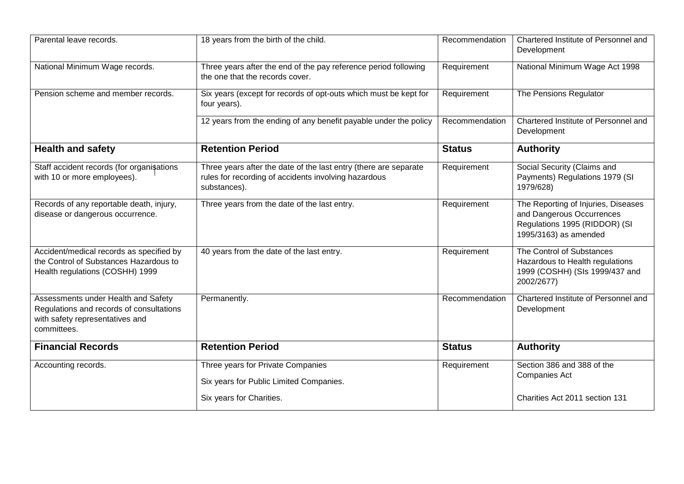| Parental leave records.                                                                                                           | 18 years from the birth of the child.                                                                                                    | Recommendation | Chartered Institute of Personnel and<br>Development                                                                        |
|-----------------------------------------------------------------------------------------------------------------------------------|------------------------------------------------------------------------------------------------------------------------------------------|----------------|----------------------------------------------------------------------------------------------------------------------------|
| National Minimum Wage records.                                                                                                    | Three years after the end of the pay reference period following<br>the one that the records cover.                                       | Requirement    | National Minimum Wage Act 1998                                                                                             |
| Pension scheme and member records.                                                                                                | Six years (except for records of opt-outs which must be kept for<br>four years).                                                         | Requirement    | The Pensions Regulator                                                                                                     |
|                                                                                                                                   | 12 years from the ending of any benefit payable under the policy                                                                         | Recommendation | Chartered Institute of Personnel and<br>Development                                                                        |
| <b>Health and safety</b>                                                                                                          | <b>Retention Period</b>                                                                                                                  | <b>Status</b>  | <b>Authority</b>                                                                                                           |
| Staff accident records (for organisations<br>with 10 or more employees).                                                          | Three years after the date of the last entry (there are separate<br>rules for recording of accidents involving hazardous<br>substances). | Requirement    | Social Security (Claims and<br>Payments) Regulations 1979 (SI<br>1979/628)                                                 |
| Records of any reportable death, injury,<br>disease or dangerous occurrence.                                                      | Three years from the date of the last entry.                                                                                             | Requirement    | The Reporting of Injuries, Diseases<br>and Dangerous Occurrences<br>Regulations 1995 (RIDDOR) (SI<br>1995/3163) as amended |
| Accident/medical records as specified by<br>the Control of Substances Hazardous to<br>Health regulations (COSHH) 1999             | 40 years from the date of the last entry.                                                                                                | Requirement    | The Control of Substances<br>Hazardous to Health regulations<br>1999 (COSHH) (SIs 1999/437 and<br>2002/2677)               |
| Assessments under Health and Safety<br>Regulations and records of consultations<br>with safety representatives and<br>committees. | Permanently.                                                                                                                             | Recommendation | Chartered Institute of Personnel and<br>Development                                                                        |
| <b>Financial Records</b>                                                                                                          | <b>Retention Period</b>                                                                                                                  | <b>Status</b>  | <b>Authority</b>                                                                                                           |
| Accounting records.                                                                                                               | Three years for Private Companies<br>Six years for Public Limited Companies.                                                             | Requirement    | Section 386 and 388 of the<br><b>Companies Act</b>                                                                         |
|                                                                                                                                   | Six years for Charities.                                                                                                                 |                | Charities Act 2011 section 131                                                                                             |